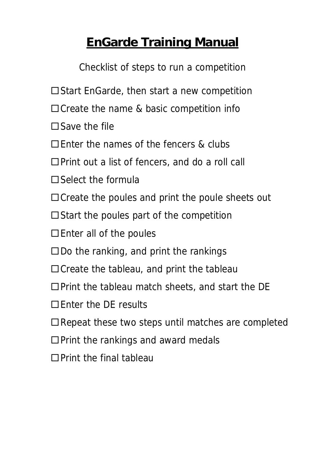# **EnGarde Training Manual**

Checklist of steps to run a competition

- $\square$  Start EnGarde, then start a new competition
- $\Box$  Create the name & basic competition info
- $\square$  Save the file
- $\Box$  Enter the names of the fencers & clubs
- $\Box$  Print out a list of fencers, and do a roll call
- $\square$  Select the formula
- $\Box$  Create the poules and print the poule sheets out
- $\Box$  Start the poules part of the competition
- $\Box$  Enter all of the poules
- $\square$  Do the ranking, and print the rankings
- $\Box$  Create the tableau, and print the tableau
- $\Box$  Print the tableau match sheets, and start the DE
- □Enter the DE results
- □ Repeat these two steps until matches are completed
- $\Box$  Print the rankings and award medals
- $\Box$ Print the final tableau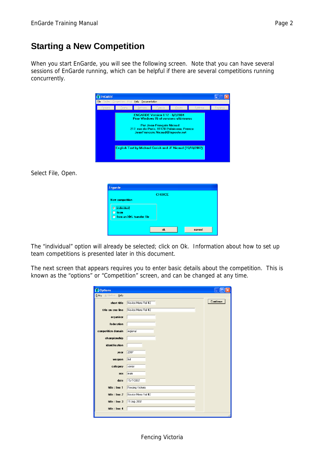### **Starting a New Competition**

When you start EnGarde, you will see the following screen. Note that you can have several sessions of EnGarde running, which can be helpful if there are several competitions running concurrently.

| File<br>Fencers | Tables Competition Html<br>Teams | Help<br>Documentation<br><b>Referees</b>                         | Formula                                                     | Poules                                                                                | Tableaux | Rankings |
|-----------------|----------------------------------|------------------------------------------------------------------|-------------------------------------------------------------|---------------------------------------------------------------------------------------|----------|----------|
|                 |                                  | <b>ENGARDE Version 8.12 - 8/2/2004</b>                           | Par Jean-François Nicaud<br>JeanFrancois.Nicaud@laposte.net | Pour Windows 95 et versions ultérieures<br>217, rue de Paris, 91120 Palaiseau, France |          |          |
|                 |                                  | <b>English Text by Michael Corish and JF Nicaud (15/10/2002)</b> |                                                             |                                                                                       |          |          |

Select File, Open.

| <b>Engarde</b>                             |               |        |
|--------------------------------------------|---------------|--------|
|                                            | <b>CHOICE</b> |        |
| <b>New competition</b>                     |               |        |
| --------------------------<br>C individual |               |        |
| team                                       |               |        |
| C from an XML transfer file                |               |        |
|                                            |               |        |
|                                            | ok            | cancel |

The "individual" option will already be selected; click on Ok. Information about how to set up team competitions is presented later in this document.

The next screen that appears requires you to enter basic details about the competition. This is known as the "options" or "Competition" screen, and can be changed at any time.

| <b>X</b> Options       |                     |          |
|------------------------|---------------------|----------|
| Entry Affiliation Help |                     |          |
| short title            | Novice Mens Foil #2 | Continue |
| title on one line      | Novice Mens Foil #2 |          |
| organiser              |                     |          |
| federation             |                     |          |
| competition domain     | regional            |          |
| championship           |                     |          |
| identification         |                     |          |
| year                   | 2007                |          |
| weapon                 | foil                |          |
| category               | senior              |          |
| sex                    | male                |          |
| date                   | 15/7/2007           |          |
| title : line 1         | Fencing Victoria    |          |
| title : line 2         | Novice Mens Foil #2 |          |
| title : line 3         | 15 July 2007        |          |
| title : line 4         |                     |          |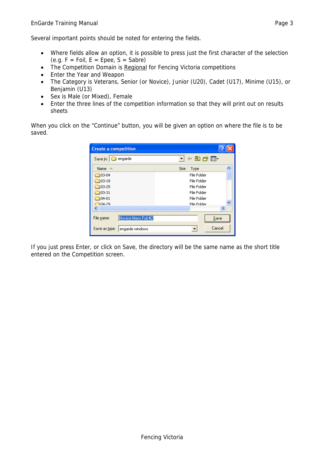- Where fields allow an option, it is possible to press just the first character of the selection (e.g.  $F = Foil$ ,  $E = Epee$ ,  $S = Sabre$ )
- The Competition Domain is Regional for Fencing Victoria competitions
- Enter the Year and Weapon
- The Category is Veterans, Senior (or Novice), Junior (U20), Cadet (U17), Minime (U15), or Benjamin (U13)
- Sex is Male (or Mixed), Female
- Enter the three lines of the competition information so that they will print out on results sheets

When you click on the "Continue" button, you will be given an option on where the file is to be saved.

| <b>Create a competition</b> |                     |      |             |        |  |
|-----------------------------|---------------------|------|-------------|--------|--|
| Save in:                    | engarde             |      | 白び囲         |        |  |
| Name $\triangle$            |                     | Size | Type        |        |  |
| 103-04                      |                     |      | File Folder |        |  |
| 03-18                       |                     |      | File Folder |        |  |
| 03-25                       |                     |      | File Folder |        |  |
| 03-31                       |                     |      | File Folder |        |  |
| $04 - 01$                   |                     |      | File Folder |        |  |
| 104-29                      |                     |      | File Folder |        |  |
|                             | ШI                  |      |             | ×.     |  |
| File name:                  | Novice Mens Foil #2 |      |             | Save   |  |
| Save as type:               | engarde windows     |      |             | Cancel |  |

If you just press Enter, or click on Save, the directory will be the same name as the short title entered on the Competition screen.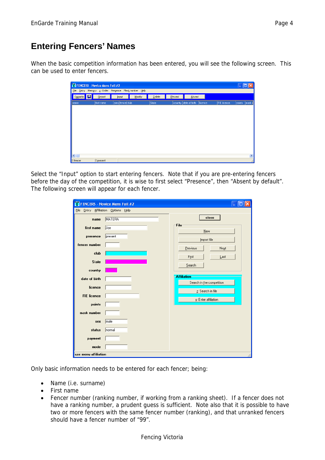### **Entering Fencers' Names**

When the basic competition information has been entered, you will see the following screen. This can be used to enter fencers.

|          | <b>X</b> FENCERS - Novice Mens Foil #2               |                  |        |        |         |                       |         |             |        |              |
|----------|------------------------------------------------------|------------------|--------|--------|---------|-----------------------|---------|-------------|--------|--------------|
|          | File Entry Memory z: Order Presence Mask number Help |                  |        |        |         |                       |         |             |        |              |
| Engarde  | Beport<br>H                                          | Input            | Modify | Delete | Present | Absent                |         |             |        |              |
| name     | first name                                           | pres fencer club |        | State  |         | country date of birth | licence | FIE licence | points | $ $ mask $ $ |
|          |                                                      |                  |        |        |         |                       |         |             |        |              |
|          |                                                      |                  |        |        |         |                       |         |             |        |              |
|          |                                                      |                  |        |        |         |                       |         |             |        |              |
|          |                                                      |                  |        |        |         |                       |         |             |        |              |
|          |                                                      |                  |        |        |         |                       |         |             |        |              |
|          |                                                      |                  |        |        |         |                       |         |             |        |              |
|          |                                                      |                  |        |        |         |                       |         |             |        |              |
|          |                                                      |                  |        |        |         |                       |         |             |        |              |
|          |                                                      |                  |        |        |         |                       |         |             |        | $\,$         |
| 0 fencer | 0 present                                            |                  |        |        |         |                       |         |             |        |              |

Select the "Input" option to start entering fencers. Note that if you are pre-entering fencers before the day of the competition, it is wise to first select "Presence", then "Absent by default". The following screen will appear for each fencer.

|                      | <b>X</b> FENCERS - Novice Mens Foil #2 | E                                               |
|----------------------|----------------------------------------|-------------------------------------------------|
| Eile                 | Entry Affiliation Options Help         |                                                 |
| name                 | <b>MATERA</b>                          | close                                           |
| first name           | Joe                                    | File<br>New                                     |
| presence             | present                                | Import file                                     |
| fencer number        |                                        | Previous<br>Next                                |
| club                 |                                        | First<br>Last                                   |
| <b>State</b>         |                                        | Search                                          |
| country              |                                        |                                                 |
| date of birth        |                                        | <b>Affiliation</b><br>Search in the competition |
| licence              |                                        | z: Search in file                               |
| <b>FIE</b> licence   |                                        | y: Enter affiliation                            |
| points               |                                        |                                                 |
| mask number          |                                        |                                                 |
| sex                  | male                                   |                                                 |
| status               | normal                                 |                                                 |
| payment              |                                        |                                                 |
| mode                 |                                        |                                                 |
| use menu affiliation |                                        |                                                 |

Only basic information needs to be entered for each fencer; being:

- Name (i.e. surname)
- First name
- Fencer number (ranking number, if working from a ranking sheet). If a fencer does not have a ranking number, a prudent guess is sufficient. Note also that it is possible to have two or more fencers with the same fencer number (ranking), and that unranked fencers should have a fencer number of "99".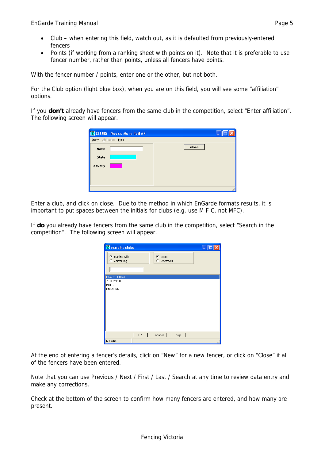- Club when entering this field, watch out, as it is defaulted from previously-entered fencers
- Points (if working from a ranking sheet with points on it). Note that it is preferable to use fencer number, rather than points, unless all fencers have points.

With the fencer number / points, enter one or the other, but not both.

For the Club option (light blue box), when you are on this field, you will see some "affiliation" options.

If you **don't** already have fencers from the same club in the competition, select "Enter affiliation". The following screen will appear.

| X CLUBS - Novice Mens Foil #2 |       |
|-------------------------------|-------|
| Affiliation Help<br>Entry     |       |
| name                          | close |
| <b>State</b>                  |       |
| country                       |       |
|                               |       |
|                               |       |
|                               |       |

Enter a club, and click on close. Due to the method in which EnGarde formats results, it is important to put spaces between the initials for clubs (e.g. use M F C, not MFC).

If **do** you already have fencers from the same club in the competition, select "Search in the competition". The following screen will appear.

| Search : clubs                    |     |                        | ц |
|-----------------------------------|-----|------------------------|---|
| G.<br>starting with<br>containing |     | C exact<br>C resembles |   |
| <b>BLACKLORDS</b>                 |     |                        |   |
| FIORETTO<br>MUFC<br>UNKNOWN       |     |                        |   |
|                                   | OK. | cancel<br>help         |   |
| 4 clubs                           |     |                        |   |

At the end of entering a fencer's details, click on "New" for a new fencer, or click on "Close" if all of the fencers have been entered.

Note that you can use Previous / Next / First / Last / Search at any time to review data entry and make any corrections.

Check at the bottom of the screen to confirm how many fencers are entered, and how many are present.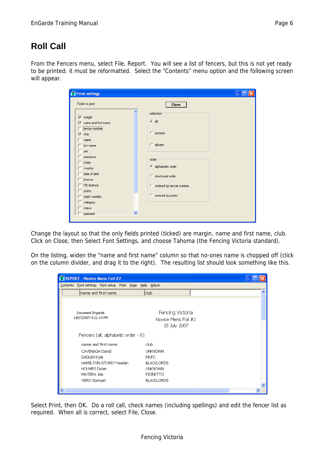### **Roll Call**

From the Fencers menu, select File, Report. You will see a list of fencers, but this is not yet ready to be printed; it must be reformatted. Select the "Contents" menu option and the following screen will appear.

| <b>X</b> Print settings                                                                                                                                                                                                                                                                                                                 |                                                                                                                                                                                  |
|-----------------------------------------------------------------------------------------------------------------------------------------------------------------------------------------------------------------------------------------------------------------------------------------------------------------------------------------|----------------------------------------------------------------------------------------------------------------------------------------------------------------------------------|
| Fields to print                                                                                                                                                                                                                                                                                                                         | <b>Close</b>                                                                                                                                                                     |
| $\nabla$ margin<br>name and first name<br>⊽<br>[fencer number]<br>club<br>U<br>$^-$ name<br>$^-$ first name<br>$\overline{\phantom{a}}$ sex<br>$\overline{\phantom{a}}$ presence<br>State<br>$\equiv$ country<br>$\Box$ date of birth<br>licence<br>$\Box$ FIE licence<br>$\Box$ points<br>mask number<br>category<br>status<br>payment | ∧<br>selection <sup>-</sup><br>$G$ all<br>C present<br>$C$ absent<br>order<br>C alphabetic order<br>C structured order<br>C ordered by fencer number<br>C ordered by points<br>v |
|                                                                                                                                                                                                                                                                                                                                         |                                                                                                                                                                                  |

Change the layout so that the only fields printed (ticked) are margin, name and first name, club. Click on Close, then Select Font Settings, and choose Tahoma (the Fencing Victoria standard).

On the listing, widen the "name and first name" column so that no-ones name is chopped off (click on the column divider, and drag it to the right). The resulting list should look something like this.

| <b>X REPORT - Novice Mens Foil #2</b>                     |                                                         |  |
|-----------------------------------------------------------|---------------------------------------------------------|--|
| Contents Font settings Print setup Print Page Help Adjust |                                                         |  |
| name and first name                                       | club                                                    |  |
| Document Engarde<br>14/07/2007 4:21:14 PM                 | Fencing Victoria<br>Novice Mens Foil #2<br>15 July 2007 |  |
| Fencers (all, alphabetic order - 6)                       |                                                         |  |
| name and first name                                       | club.                                                   |  |
| CAVENAGH David<br>DADLEH Kyle                             | <b>UNKNOWN</b><br>MUFC                                  |  |
| HAMILTON-STURDY Kealan                                    | <b>BLACKLORDS</b>                                       |  |
| HOLMES Dylan                                              | <b>UNKNOWN</b>                                          |  |
| MATERA Joe                                                | <b>FIORETTO</b>                                         |  |
| <b>VERO Samuel</b>                                        | <b>BLACKLORDS</b>                                       |  |
| ≺                                                         | <b>TITL</b>                                             |  |

Select Print, then OK. Do a roll call, check names (including spellings) and edit the fencer list as required. When all is correct, select File, Close.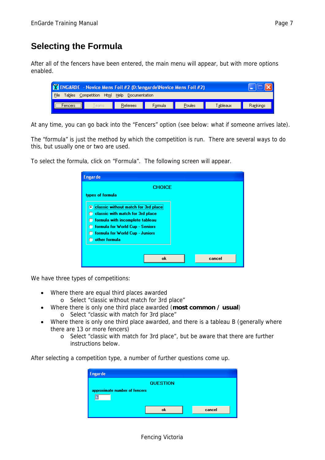After all of the fencers have been entered, the main menu will appear, but with more options enabled.

| <b>N</b> ENGARDE - Novice Mens Foil #2 (D: lengar de Wovice Mens Foil #2)  |  |  |  |  |  |
|----------------------------------------------------------------------------|--|--|--|--|--|
| $\vert$ File<br>Tables Competition Html Help<br>Documentation              |  |  |  |  |  |
| Rankings<br>Tableaux<br>Poules<br>Referees<br>Teams<br>Formula<br>encers : |  |  |  |  |  |

At any time, you can go back into the "Fencers" option (see below: what if someone arrives late).

The "formula" is just the method by which the competition is run. There are several ways to do this, but usually one or two are used.

To select the formula, click on "Formula". The following screen will appear.

| <b>Engarde</b>                                                                       |        |
|--------------------------------------------------------------------------------------|--------|
| <b>CHOICE</b>                                                                        |        |
| types of formula                                                                     |        |
| C classic without match for 3rd place                                                |        |
| C classic with match for 3rd place                                                   |        |
| <b>C</b> formula with incomplete tableau<br><b>C</b> formula for World Cup - Seniors |        |
| <b>C</b> formula for World Cup - Juniors                                             |        |
| other formula                                                                        |        |
|                                                                                      |        |
| ok                                                                                   | cancel |

We have three types of competitions:

- Where there are equal third places awarded
	- o Select "classic without match for 3rd place"
- Where there is only one third place awarded (**most common / usual**) o Select "classic with match for 3rd place"
- Where there is only one third place awarded, and there is a tableau B (generally where there are 13 or more fencers)
	- o Select "classic with match for 3rd place", but be aware that there are further instructions below.

After selecting a competition type, a number of further questions come up.

| <b>Engarde</b>                |                 |        |
|-------------------------------|-----------------|--------|
|                               | <b>QUESTION</b> |        |
| approximate number of fencers |                 |        |
|                               |                 |        |
|                               | ok              | cancel |
|                               |                 |        |

#### Fencing Victoria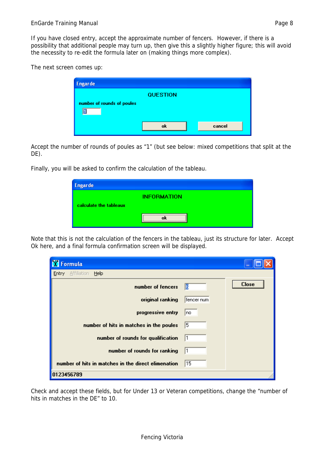If you have closed entry, accept the approximate number of fencers. However, if there is a possibility that additional people may turn up, then give this a slightly higher figure; this will avoid the necessity to re-edit the formula later on (making things more complex).

The next screen comes up:

| <b>Engarde</b>             |                 |        |
|----------------------------|-----------------|--------|
| number of rounds of poules | <b>QUESTION</b> |        |
|                            | ok              | cancel |

Accept the number of rounds of poules as "1" (but see below: mixed competitions that split at the DE).

Finally, you will be asked to confirm the calculation of the tableau.

| <b>Engarde</b>         |                    |
|------------------------|--------------------|
|                        | <b>INFORMATION</b> |
| calculate the tableaux |                    |
|                        |                    |

Note that this is not the calculation of the fencers in the tableau, just its structure for later. Accept Ok here, and a final formula confirmation screen will be displayed.

| Formula                                             |            |              |
|-----------------------------------------------------|------------|--------------|
| Affiliation<br>Help<br>Entry                        |            |              |
| number of fencers                                   | 16         | <b>Close</b> |
| original ranking                                    | fencer num |              |
| progressive entry                                   | Ino        |              |
| number of hits in matches in the poules             | 15.        |              |
| number of rounds for qualification                  | 11         |              |
| number of rounds for ranking                        | l1         |              |
| number of hits in matches in the direct elimenation | 15         |              |
| 0123456789                                          |            |              |

Check and accept these fields, but for Under 13 or Veteran competitions, change the "number of hits in matches in the DE" to 10.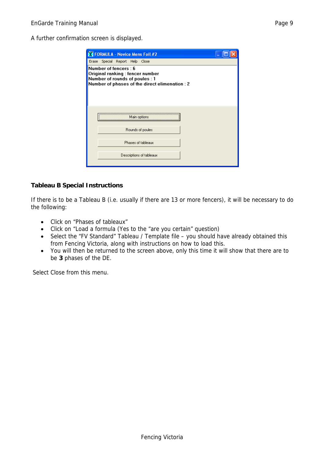A further confirmation screen is displayed.

| <b>X</b> FORMULA - Novice Mens Foil #2                                                                                                       |  |
|----------------------------------------------------------------------------------------------------------------------------------------------|--|
| Erase Special Report Help Close                                                                                                              |  |
| Number of fencers: 6<br>Original ranking : fencer number<br>Number of rounds of poules : 1<br>Number of phases of the direct elimenation : 2 |  |
| Main options                                                                                                                                 |  |
| Rounds of poules                                                                                                                             |  |
| Phases of tableaux                                                                                                                           |  |
| Descriptions of tableaux                                                                                                                     |  |

#### **Tableau B Special Instructions**

If there is to be a Tableau B (i.e. usually if there are 13 or more fencers), it will be necessary to do the following:

- Click on "Phases of tableaux"
- Click on "Load a formula (Yes to the "are you certain" question)
- Select the "FV Standard" Tableau / Template file you should have already obtained this from Fencing Victoria, along with instructions on how to load this.
- You will then be returned to the screen above, only this time it will show that there are to be **3** phases of the DE.

Select Close from this menu.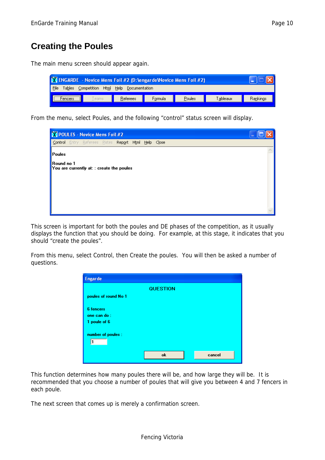### **Creating the Poules**

The main menu screen should appear again.

| N ENGARDE - Novice Mens Foil #2 (D: \engarde\Novice Mens Foil #2) |                    |         |        |          |          |
|-------------------------------------------------------------------|--------------------|---------|--------|----------|----------|
| File<br><b>Tables</b><br>Competition<br>Html                      | Help Documentation |         |        |          |          |
| l eams<br>rencers                                                 | Referees           | Formula | Poules | Tableaux | Rankings |

From the menu, select Poules, and the following "control" status screen will display.



This screen is important for both the poules and DE phases of the competition, as it usually displays the function that you should be doing. For example, at this stage, it indicates that you should "create the poules".

From this menu, select Control, then Create the poules. You will then be asked a number of questions.

| <b>Engarde</b>                                  |                 |        |
|-------------------------------------------------|-----------------|--------|
|                                                 | <b>QUESTION</b> |        |
| poules of round No 1                            |                 |        |
| <b>6</b> fencers<br>one can do:<br>1 poule of 6 |                 |        |
| number of poules :                              |                 |        |
|                                                 | ok              | cancel |

This function determines how many poules there will be, and how large they will be. It is recommended that you choose a number of poules that will give you between 4 and 7 fencers in each poule.

The next screen that comes up is merely a confirmation screen.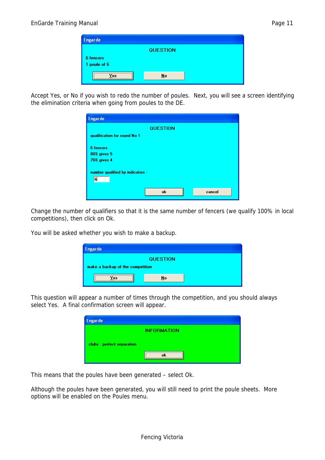| <b>Engarde</b>            |                 |  |
|---------------------------|-----------------|--|
|                           | <b>QUESTION</b> |  |
| 6 fencers<br>1 poule of 6 |                 |  |
| 'es                       | No              |  |

Accept Yes, or No if you wish to redo the number of poules. Next, you will see a screen identifying the elimination criteria when going from poules to the DE.

| <b>Engarde</b>                        |                 |        |
|---------------------------------------|-----------------|--------|
|                                       | <b>QUESTION</b> |        |
| qualification for round No 1          |                 |        |
| <b>6</b> fencers                      |                 |        |
| 80% gives 5                           |                 |        |
| <b>70% gives 4</b>                    |                 |        |
| number qualified by indicators :<br>6 |                 |        |
|                                       | ok              | cancel |

Change the number of qualifiers so that it is the same number of fencers (we qualify 100% in local competitions), then click on Ok.

You will be asked whether you wish to make a backup.

| <b>Engarde</b>                   |                 |  |
|----------------------------------|-----------------|--|
|                                  | <b>QUESTION</b> |  |
| make a backup of the competition |                 |  |
| <b>PS</b>                        | No              |  |
|                                  |                 |  |

This question will appear a number of times through the competition, and you should always select Yes. A final confirmation screen will appear.

| <b>Engarde</b>             |                    |
|----------------------------|--------------------|
|                            | <b>INFORMATION</b> |
| clubs : perfect separation |                    |
|                            |                    |

This means that the poules have been generated – select Ok.

Although the poules have been generated, you will still need to print the poule sheets. More options will be enabled on the Poules menu.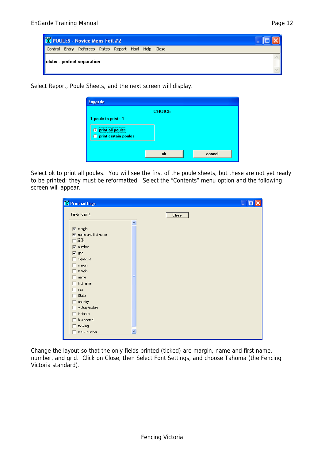

Select Report, Poule Sheets, and the next screen will display.

| <b>Engarde</b>                |               |        |
|-------------------------------|---------------|--------|
|                               | <b>CHOICE</b> |        |
| 1 poule to print : 1          |               |        |
| <br><b>O</b> print all poules |               |        |
| <b>O</b> print certain poules |               |        |
|                               |               |        |
|                               | ok            | cancel |
|                               |               |        |

Select ok to print all poules. You will see the first of the poule sheets, but these are not yet ready to be printed; they must be reformatted. Select the "Contents" menu option and the following screen will appear.

| <b>X</b> Print settings                             |                          |              |  |
|-----------------------------------------------------|--------------------------|--------------|--|
| Fields to print                                     |                          | <b>Close</b> |  |
|                                                     | $\overline{\phantom{a}}$ |              |  |
| $\nabla$ margin                                     |                          |              |  |
| $\overline{\blacktriangledown}$ name and first name |                          |              |  |
| $\Box$ elub                                         |                          |              |  |
| $\nabla$ number                                     |                          |              |  |
| $\nabla$ grid                                       |                          |              |  |
| $\Box$ signature                                    |                          |              |  |
| $\Box$ margin                                       |                          |              |  |
| $\Box$ margin                                       |                          |              |  |
| $\Box$ name                                         |                          |              |  |
| $\Box$ first name                                   |                          |              |  |
| $\Box$ sex                                          |                          |              |  |
| $\Box$ State                                        |                          |              |  |
| $\Box$ country                                      |                          |              |  |
| $\Box$ victory/match                                |                          |              |  |
| $\Box$ indicator                                    |                          |              |  |
| $\Box$ hits scored                                  |                          |              |  |
| $\Box$ ranking                                      |                          |              |  |
| $\Box$ mask number                                  | $\checkmark$             |              |  |

Change the layout so that the only fields printed (ticked) are margin, name and first name, number, and grid. Click on Close, then Select Font Settings, and choose Tahoma (the Fencing Victoria standard).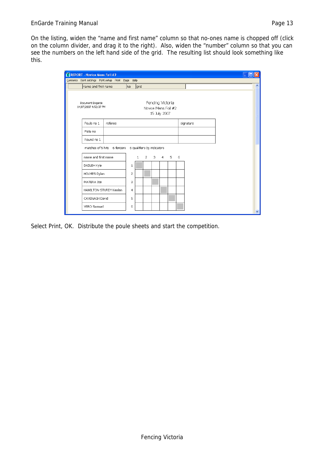On the listing, widen the "name and first name" column so that no-ones name is chopped off (click on the column divider, and drag it to the right). Also, widen the "number" column so that you can see the numbers on the left hand side of the grid. The resulting list should look something like this.

| <b>N</b> REPORT - Novice Mens Foil #2     |                                                        |                |      |                                  |                     |   |           |  |             |
|-------------------------------------------|--------------------------------------------------------|----------------|------|----------------------------------|---------------------|---|-----------|--|-------------|
|                                           | Contents Font settings Print setup Print Page Help     |                |      |                                  |                     |   |           |  |             |
| name and first name                       |                                                        | No.            | grid |                                  |                     |   |           |  | ∧           |
| Document Engarde<br>14/07/2007 4:52:37 PM |                                                        |                |      | Fencing Victoria<br>15 July 2007 | Novice Mens Foil #2 |   |           |  |             |
| Poule no 1                                | referee                                                |                |      |                                  |                     |   | signature |  |             |
| Piste no                                  |                                                        |                |      |                                  |                     |   |           |  |             |
| Round no 1                                |                                                        |                |      |                                  |                     |   |           |  |             |
|                                           | matches of 5 hits 6 fencers 6 qualifiers by indicators |                |      |                                  |                     |   |           |  |             |
| name and first name                       |                                                        |                | 1    |                                  | $2 \t3 \t4 \t5$     | 6 |           |  |             |
| DADLEH Kyle                               |                                                        | 1              |      |                                  |                     |   |           |  |             |
| HOLMES Dylan                              |                                                        | $\overline{c}$ |      |                                  |                     |   |           |  |             |
| MATERA Joe                                |                                                        | 3              |      |                                  |                     |   |           |  |             |
| HAMILTON-STURDY Kealan                    |                                                        | 4              |      |                                  |                     |   |           |  |             |
| CAVENAGH David                            |                                                        | 5              |      |                                  |                     |   |           |  |             |
| VERO Samuel                               |                                                        | 6              |      |                                  |                     |   |           |  |             |
|                                           |                                                        |                |      |                                  |                     |   |           |  | $\ddotmark$ |

Select Print, OK. Distribute the poule sheets and start the competition.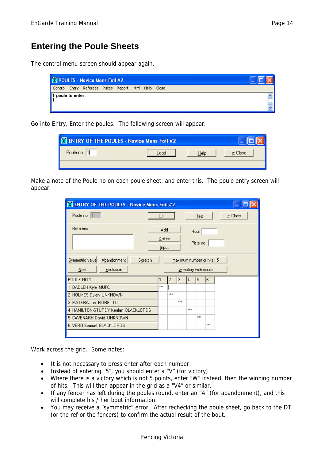#### **Entering the Poule Sheets**

The control menu screen should appear again.

|                                                                               | X POULES - Novice Mens Foil #2                       |  |  | $\sim$ |  |
|-------------------------------------------------------------------------------|------------------------------------------------------|--|--|--------|--|
|                                                                               | Control Entry Referees Pistes Report Html Help Close |  |  |        |  |
| $\begin{array}{ c c } \hline 1 \text{ poule to enter :} \ \hline \end{array}$ |                                                      |  |  |        |  |
|                                                                               |                                                      |  |  |        |  |

Go into Entry, Enter the poules. The following screen will appear.

| X ENTRY OF THE POULES - Novice Mens Foil #2 |      |          | ٠ |
|---------------------------------------------|------|----------|---|
| 1 <br>Poule no                              | Help | z: Close |   |
|                                             |      |          |   |

Make a note of the Poule no on each poule sheet, and enter this. The poule entry screen will appear.

| X ENTRY OF THE POULES - Novice Mens Foil #2 |  |       |     |                    |                      |      |                            |          |  |
|---------------------------------------------|--|-------|-----|--------------------|----------------------|------|----------------------------|----------|--|
| Poule no  1                                 |  | ₫k    |     |                    |                      | Help |                            | z: Close |  |
| Referees                                    |  | Add   |     |                    |                      | Hour |                            |          |  |
|                                             |  |       |     | Delete<br>Piste no |                      |      |                            |          |  |
|                                             |  | Input |     |                    |                      |      |                            |          |  |
| Symmetric value<br>Abandonment<br>Scratch   |  |       |     |                    |                      |      | maximum number of hits : 5 |          |  |
| Exclusion<br>Next                           |  |       |     |                    | w victory with score |      |                            |          |  |
| POULE NO 1                                  |  | 1     | 2   | 3                  | 4                    | 5    | 6                          |          |  |
| 1 DADLEH Kyle MUFC                          |  | xxx   |     |                    |                      |      |                            |          |  |
| 2 HOLMES Dylan UNKNOWN                      |  |       | xxx |                    |                      |      |                            |          |  |
| 3 MATERA Joe FIORETTO                       |  |       |     | xxx                |                      |      |                            |          |  |
| 4 HAMILTON-STURDY Kealan BLACKLORDS         |  |       |     |                    | xxx                  |      |                            |          |  |
| 5 CAVENAGH David UNKNOWN                    |  |       |     |                    |                      | xxx  |                            |          |  |
| 6 VERO Samuel BLACKLORDS                    |  |       |     |                    |                      |      | xxx                        |          |  |
|                                             |  |       |     |                    |                      |      |                            |          |  |

Work across the grid. Some notes:

- It is not necessary to press enter after each number
- Instead of entering "5", you should enter a "V" (for victory)
- Where there is a victory which is not 5 points, enter "W" instead, then the winning number of hits. This will then appear in the grid as a "V4" or similar.
- If any fencer has left during the poules round, enter an "A" (for abandonment), and this will complete his / her bout information.
- You may receive a "symmetric" error. After rechecking the poule sheet, go back to the DT (or the ref or the fencers) to confirm the actual result of the bout.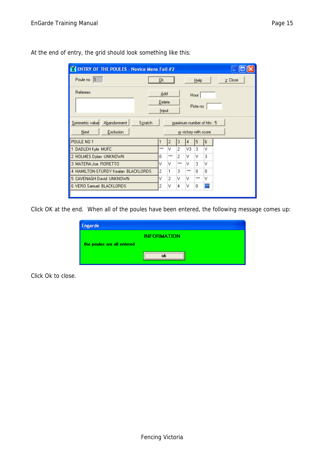| X ENTRY OF THE POULES - Novice Mens Foil #2                    |     |                 |                |                      |          |                            |          |  |
|----------------------------------------------------------------|-----|-----------------|----------------|----------------------|----------|----------------------------|----------|--|
| Poule no  1                                                    | Qk  |                 |                |                      | Help     |                            | z: Close |  |
| Referees                                                       |     | Add             |                |                      | Hour     |                            |          |  |
|                                                                |     | Delete<br>Input |                |                      | Piste no |                            |          |  |
| Abandonment<br>Symmetric value<br>Scratch<br>Exclusion<br>Next |     |                 |                | w victory with score |          | maximum number of hits : 5 |          |  |
| POULE NO 1                                                     | 1   | 2               | 3              | 4                    | 5        | 6                          |          |  |
| DADLEH Kyle MUFC                                               | xxx | v               | 2              | V3.                  | 3        | v                          |          |  |
| 2 HOLMES Dylan UNKNOWN                                         | 0   | xxx             | $\overline{c}$ | v                    | v        | 3                          |          |  |
| 3 MATERA Joe FIORETTO                                          | ٧   | v               | xxx            | v                    | 3        | v                          |          |  |
| 4 HAMILTON-STURDY Kealan BLACKLORDS                            | 2   | 1               | 3              | xxx                  | 0.       | 0                          |          |  |
| 5 CAVENAGH David UNKNOWN                                       | ٧   | 2               | ν              | v                    | xxx      | v                          |          |  |
| 6 VERO Samuel BLACKLORDS                                       | 2   | ٧               | 4              | v                    | 0        | ×××                        |          |  |
|                                                                |     |                 |                |                      |          |                            |          |  |

At the end of entry, the grid should look something like this:

Click OK at the end. When all of the poules have been entered, the following message comes up:

| <b>Engarde</b>             |                    |
|----------------------------|--------------------|
|                            | <b>INFORMATION</b> |
| the poules are all entered |                    |
|                            |                    |

Click Ok to close.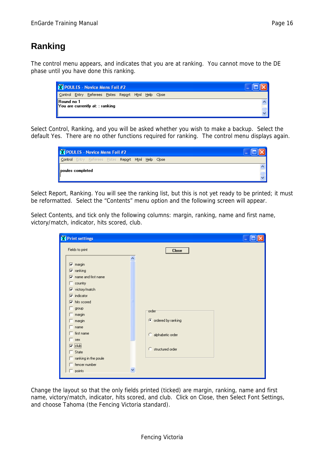The control menu appears, and indicates that you are at ranking. You cannot move to the DE phase until you have done this ranking.

|            | Y POULES - Novice Mens Foil #2                       |  | $\sim$ |  |  |
|------------|------------------------------------------------------|--|--------|--|--|
|            | Control Entry Referees Pistes Report Html Help Close |  |        |  |  |
| Round no 1 | You are currently at: : ranking                      |  |        |  |  |

Select Control, Ranking, and you will be asked whether you wish to make a backup. Select the default Yes. There are no other functions required for ranking. The control menu displays again.

|                  | X POULES - Novice Mens Foil #2                              | $\mathbf{r}$ |  |  |  |
|------------------|-------------------------------------------------------------|--------------|--|--|--|
|                  | <b>Control</b> Entry Referees Pistes Report Html Help Close |              |  |  |  |
| poules completed |                                                             |              |  |  |  |
|                  |                                                             |              |  |  |  |

Select Report, Ranking. You will see the ranking list, but this is not yet ready to be printed; it must be reformatted. Select the "Contents" menu option and the following screen will appear.

Select Contents, and tick only the following columns: margin, ranking, name and first name, victory/match, indicator, hits scored, club.

| Print settings                          |   |                      |
|-----------------------------------------|---|----------------------|
| Fields to print                         |   | <b>Close</b>         |
|                                         | ᄎ |                      |
| $\nabla$ margin                         |   |                      |
| $ \overline{\mathbf{v}} $ ranking       |   |                      |
| $\overline{\nabla}$ name and first name |   |                      |
| $\Box$ country                          |   |                      |
| <b>▽</b> victory/match                  |   |                      |
| $\nabla$ indicator                      |   |                      |
| $\nabla$ hits scored                    |   |                      |
| $\Box$ group                            |   | order                |
| $\Box$ margin                           |   |                      |
| $\Box$ margin                           |   | C ordered by ranking |
| $\Box$ name                             |   |                      |
| $\Box$ first name                       |   | C alphabetic order   |
| sex                                     |   |                      |
| $\nabla$ club                           |   | C structured order   |
| $\Box$ State                            |   |                      |
| $\Box$ ranking in the poule             |   |                      |
| $\Box$ fencer number                    |   |                      |
| $\Box$ points                           | v |                      |
|                                         |   |                      |

Change the layout so that the only fields printed (ticked) are margin, ranking, name and first name, victory/match, indicator, hits scored, and club. Click on Close, then Select Font Settings, and choose Tahoma (the Fencing Victoria standard).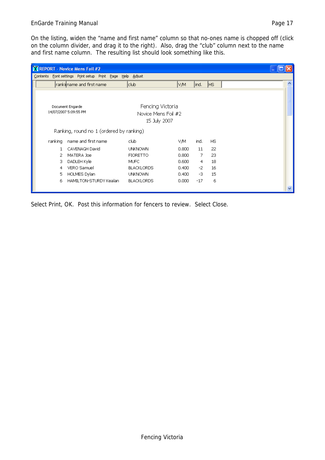#### EnGarde Training Manual **Page 17** and 2011 12:30 and 2012 12:30 and 2012 12:30 and 2012 12:30 and 2013

|         | <b>X REPORT - Novice Mens Foil #2</b>                     |                                                         |       |       |           |  |
|---------|-----------------------------------------------------------|---------------------------------------------------------|-------|-------|-----------|--|
|         | Contents Font settings Print setup Print Page Help Adjust |                                                         |       |       |           |  |
|         | rankilname and first name                                 | club.                                                   | VM    | ind.  | <b>HS</b> |  |
|         | Document Engarde<br>14/07/2007 5:09:55 PM                 | Fencing Victoria<br>Novice Mens Foil #2<br>15 July 2007 |       |       |           |  |
|         | Ranking, round no 1 (ordered by ranking)                  |                                                         |       |       |           |  |
| ranking | name and first name                                       | club                                                    | VM.   | ind.  | <b>HS</b> |  |
| 1.      | CAVENAGH David                                            | <b>UNKNOWN</b>                                          | 0.800 | 11    | 22        |  |
| 2       | MATERA Joe                                                | <b>FIORETTO</b>                                         | 0.800 | 7.    | 23        |  |
| з       | DADLEH Kyle                                               | MUFC                                                    | 0.600 | 4     | 18        |  |
| 4       | VERO Samuel                                               | <b>BLACKLORDS</b>                                       | 0.400 | $-2$  | 16        |  |
| 5.      | HOLMES Dylan                                              | <b>UNKNOWN</b>                                          | 0.400 | -3    | 15        |  |
| 6.      | HAMILTON-STURDY Kealan                                    | <b>BLACKLORDS</b>                                       | 0.000 | $-17$ | 6         |  |
|         |                                                           |                                                         |       |       |           |  |

Select Print, OK. Post this information for fencers to review. Select Close.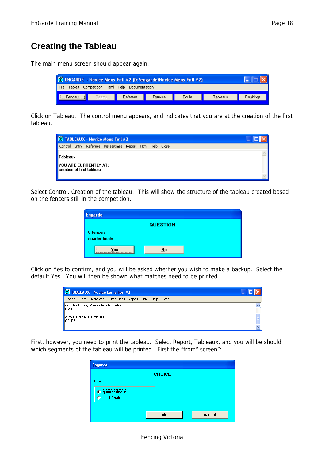### **Creating the Tableau**

The main menu screen should appear again.

| <b>N</b> ENGARDE - Novice Mens Foil #2 (D: lengar de Wovice Mens Foil #2) |          |         |        |          |          |
|---------------------------------------------------------------------------|----------|---------|--------|----------|----------|
| Competition Html Help Documentation<br><b>File</b><br>Tables              |          |         |        |          |          |
| Teams                                                                     | Referees | Formula | Poules | Tableaux | Rankings |

Click on Tableau. The control menu appears, and indicates that you are at the creation of the first tableau.

|                 |                                                           | <b>X</b> TABLEAUX - Novice Mens Foil #2            |  | ۰ |  |
|-----------------|-----------------------------------------------------------|----------------------------------------------------|--|---|--|
| Control         |                                                           | Entry Referees Pistes/times Report Html Help Close |  |   |  |
| <b>Tableaux</b> | YOU ARE CURRENTLY AT:<br><b>Creation of first tableau</b> |                                                    |  |   |  |

Select Control, Creation of the tableau. This will show the structure of the tableau created based on the fencers still in the competition.

| <b>Engarde</b>                     |                 |  |
|------------------------------------|-----------------|--|
|                                    | <b>QUESTION</b> |  |
| <b>6</b> fencers<br>quarter-finals |                 |  |
| es.                                | No              |  |

Click on Yes to confirm, and you will be asked whether you wish to make a backup. Select the default Yes. You will then be shown what matches need to be printed.

|                                   |                                                                 | X TABLEAUX - Novice Mens Foil #2                           |  | ۰ |  |
|-----------------------------------|-----------------------------------------------------------------|------------------------------------------------------------|--|---|--|
|                                   |                                                                 | Control Entry Referees Pistes/times Report Html Help Close |  |   |  |
| $ $ C <sub>2</sub> C <sub>3</sub> | quarter-finals, 2 matches to enter<br><b>2 MATCHES TO PRINT</b> |                                                            |  |   |  |
| IC2C3                             |                                                                 |                                                            |  |   |  |

First, however, you need to print the tableau. Select Report, Tableaux, and you will be should which segments of the tableau will be printed. First the "from" screen":

| <b>Engarde</b>                               |               |        |
|----------------------------------------------|---------------|--------|
|                                              | <b>CHOICE</b> |        |
| From:                                        |               |        |
| <br>© quarter-finals<br><b>C</b> semi-finals |               |        |
|                                              | ok            | cancel |

#### Fencing Victoria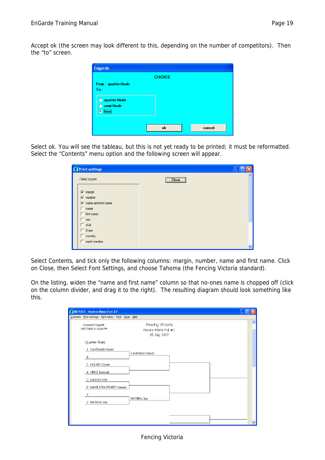Accept ok (the screen may look different to this, depending on the number of competitors). Then the "to" screen.

|                                                 | <b>CHOICE</b> |        |
|-------------------------------------------------|---------------|--------|
| From: quarter-finals                            |               |        |
| To:                                             |               |        |
|                                                 |               |        |
| <b>C</b> quarter-finals<br><b>C</b> semi-finals |               |        |
|                                                 |               |        |
| <b>O</b> final                                  |               |        |
|                                                 |               |        |
|                                                 | ok            | cancel |

Select ok. You will see the tableau, but this is not yet ready to be printed; it must be reformatted. Select the "Contents" menu option and the following screen will appear.

| <b>X</b> Print settings                     |              |
|---------------------------------------------|--------------|
| Fields to print                             | Close        |
| $\overline{\mathbf{v}}$ margin              |              |
| $\overline{\mathsf{v}}$ number              |              |
| $\overline{\mathbf{v}}$ name and first name |              |
| name                                        |              |
| $\Box$ first name                           |              |
| $\equiv$ sex                                |              |
| $\Box$ club                                 |              |
| State                                       |              |
| $\Box$ country                              |              |
| $\Box$ mask number                          |              |
|                                             | $\checkmark$ |

Select Contents, and tick only the following columns: margin, number, name and first name. Click on Close, then Select Font Settings, and choose Tahoma (the Fencing Victoria standard).

On the listing, widen the "name and first name" column so that no-ones name is chopped off (click on the column divider, and drag it to the right). The resulting diagram should look something like this.

| Contents Font settings Print setup Print Page Help                                                   |                          |
|------------------------------------------------------------------------------------------------------|--------------------------|
|                                                                                                      |                          |
| Fencing Victoria<br>Document Engarde<br>14/07/2007 5:15:28 PM<br>Novice Mens Foil #2<br>15 July 2007 | $\overline{\phantom{a}}$ |
| Quarter-finals                                                                                       |                          |
| 1 CAVENAGH David<br>CAVENAGH David<br>8                                                              |                          |
| 5 HOLMES Dylan                                                                                       |                          |
| 4 VERO Samuel                                                                                        |                          |
| 3 DADLEH Kyle                                                                                        |                          |
| 6 HAMILTON-STURDY Kealan                                                                             |                          |
| 7                                                                                                    |                          |
| MATERA Joe<br>2 MATERA Joe                                                                           |                          |
|                                                                                                      |                          |
|                                                                                                      |                          |
|                                                                                                      | $\overline{\mathbf{v}}$  |

Fencing Victoria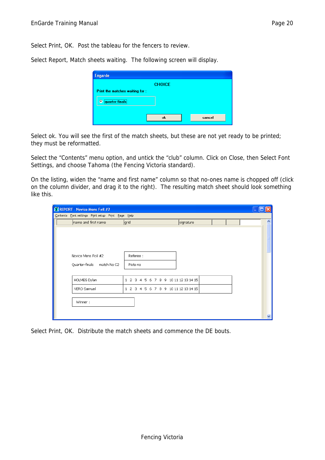Select Print, OK. Post the tableau for the fencers to review.

Select Report, Match sheets waiting. The following screen will display.

| <b>Engarde</b>                 |               |        |
|--------------------------------|---------------|--------|
|                                | <b>CHOICE</b> |        |
| Print the matches waiting for: |               |        |
| <b><i>C</i></b> quarter-finals |               |        |
|                                |               |        |
|                                | <b>ok</b>     | cancel |

Select ok. You will see the first of the match sheets, but these are not yet ready to be printed; they must be reformatted.

Select the "Contents" menu option, and untick the "club" column. Click on Close, then Select Font Settings, and choose Tahoma (the Fencing Victoria standard).

On the listing, widen the "name and first name" column so that no-ones name is chopped off (click on the column divider, and drag it to the right). The resulting match sheet should look something like this.

| <b>X REPORT - Novice Mens Foil #2</b>              |                                        |                         |   |
|----------------------------------------------------|----------------------------------------|-------------------------|---|
| Contents Font settings Print setup Print Page Help |                                        |                         |   |
| name and first name                                | grid                                   | signature               | ۸ |
|                                                    |                                        |                         |   |
|                                                    |                                        |                         |   |
|                                                    |                                        |                         |   |
|                                                    |                                        |                         |   |
| Novice Mens Foil #2                                | Referee:                               |                         |   |
| match No C2<br>Quarter-finals                      | Piste no                               |                         |   |
|                                                    |                                        |                         |   |
|                                                    |                                        |                         |   |
| HOLMES Dylan                                       | $1\quad2$<br>3.<br>5<br>6<br>4         | 7 8 9 10 11 12 13 14 15 |   |
| VERO Samuel                                        | 6 7 8 9 10 11 12 13 14 15<br>1234<br>5 |                         |   |
|                                                    |                                        |                         |   |
| Winner:                                            |                                        |                         |   |
|                                                    |                                        |                         |   |
|                                                    |                                        |                         | Ÿ |

Select Print, OK. Distribute the match sheets and commence the DE bouts.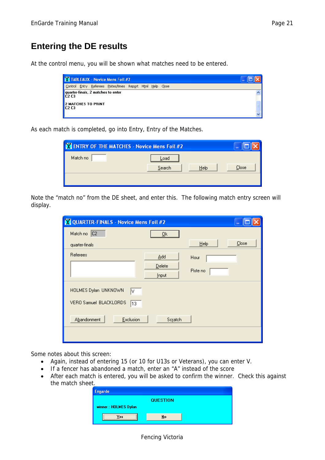### **Entering the DE results**

At the control menu, you will be shown what matches need to be entered.

|                               |                                                                 | X TABLEAUX - Novice Mens Foil #2                           |  | ۰ |  |
|-------------------------------|-----------------------------------------------------------------|------------------------------------------------------------|--|---|--|
|                               |                                                                 | Control Entry Referees Pistes/times Report Html Help Close |  |   |  |
| C2 C3                         | quarter-finals, 2 matches to enter<br><b>2 MATCHES TO PRINT</b> |                                                            |  |   |  |
| C <sub>2</sub> C <sub>3</sub> |                                                                 |                                                            |  |   |  |

As each match is completed, go into Entry, Entry of the Matches.

| X ENTRY OF THE MATCHES - Novice Mens Foil #2 | ٠              |       |
|----------------------------------------------|----------------|-------|
| Match no                                     | Load           |       |
|                                              | Search<br>Help | Close |
|                                              |                |       |

Note the "match no" from the DE sheet, and enter this. The following match entry screen will display.

| <b>X</b> QUARTER-FINALS - Novice Mens Foil #2               |                  |               |
|-------------------------------------------------------------|------------------|---------------|
| Match no C2                                                 | $\underline{0}k$ |               |
| quarter-finals                                              |                  | Close<br>Help |
| <b>Referees</b>                                             | Add              | Hour          |
|                                                             | Delete<br>Input  | Piste no      |
| HOLMES Dylan UNKNOWN<br>I٧<br>VERO Samuel BLACKLORDS<br> 13 |                  |               |
| Exclusion<br>Abandonment                                    | Scratch          |               |
|                                                             |                  |               |

Some notes about this screen:

- Again, instead of entering 15 (or 10 for U13s or Veterans), you can enter V.
- If a fencer has abandoned a match, enter an "A" instead of the score
- After each match is entered, you will be asked to confirm the winner. Check this against the match sheet.

| <b>QUESTION</b> |  |
|-----------------|--|
|                 |  |
| No              |  |
|                 |  |

#### Fencing Victoria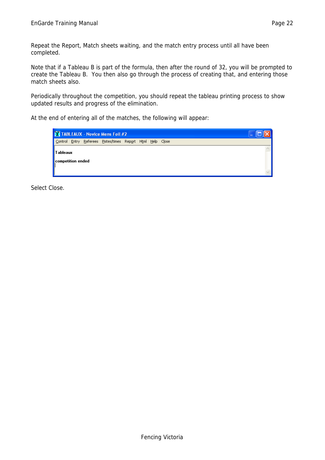Repeat the Report, Match sheets waiting, and the match entry process until all have been completed.

Note that if a Tableau B is part of the formula, then after the round of 32, you will be prompted to create the Tableau B. You then also go through the process of creating that, and entering those match sheets also.

Periodically throughout the competition, you should repeat the tableau printing process to show updated results and progress of the elimination.

At the end of entering all of the matches, the following will appear:

|                                |  |  | X TABLEAUX - Novice Mens Foil #2                   |  |  |  | $\sim$ |  |
|--------------------------------|--|--|----------------------------------------------------|--|--|--|--------|--|
| Control                        |  |  | Entry Referees Pistes/times Report Html Help Close |  |  |  |        |  |
| Tableaux <br>competition ended |  |  |                                                    |  |  |  |        |  |
|                                |  |  |                                                    |  |  |  |        |  |

Select Close.